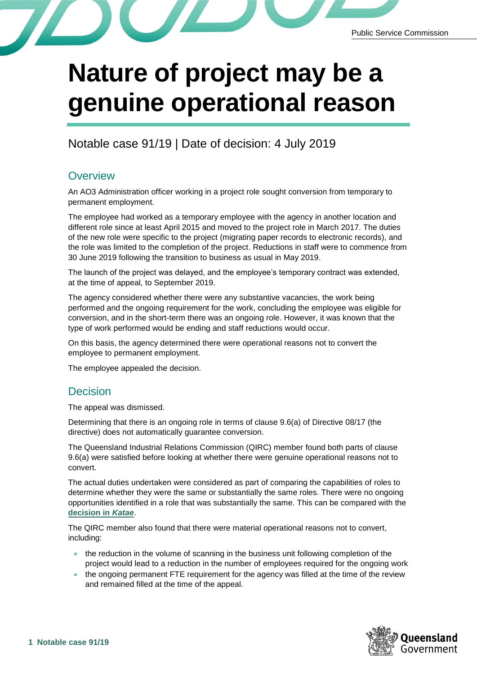

## **Nature of project may be a genuine operational reason**

Notable case 91/19 | Date of decision: 4 July 2019

## **Overview**

An AO3 Administration officer working in a project role sought conversion from temporary to permanent employment.

The employee had worked as a temporary employee with the agency in another location and different role since at least April 2015 and moved to the project role in March 2017. The duties of the new role were specific to the project (migrating paper records to electronic records), and the role was limited to the completion of the project. Reductions in staff were to commence from 30 June 2019 following the transition to business as usual in May 2019.

The launch of the project was delayed, and the employee's temporary contract was extended, at the time of appeal, to September 2019.

The agency considered whether there were any substantive vacancies, the work being performed and the ongoing requirement for the work, concluding the employee was eligible for conversion, and in the short-term there was an ongoing role. However, it was known that the type of work performed would be ending and staff reductions would occur.

On this basis, the agency determined there were operational reasons not to convert the employee to permanent employment.

The employee appealed the decision.

## Decision

The appeal was dismissed.

Determining that there is an ongoing role in terms of clause 9.6(a) of Directive 08/17 (the directive) does not automatically guarantee conversion.

The Queensland Industrial Relations Commission (QIRC) member found both parts of clause 9.6(a) were satisfied before looking at whether there were genuine operational reasons not to convert.

The actual duties undertaken were considered as part of comparing the capabilities of roles to determine whether they were the same or substantially the same roles. There were no ongoing opportunities identified in a role that was substantially the same. This can be compared with the **[decision in](https://www.forgov.qld.gov.au/file/49851/download?token=Tv_bYBQg)** *Katae*.

The QIRC member also found that there were material operational reasons not to convert, including:

- the reduction in the volume of scanning in the business unit following completion of the project would lead to a reduction in the number of employees required for the ongoing work
- the ongoing permanent FTE requirement for the agency was filled at the time of the review and remained filled at the time of the appeal.